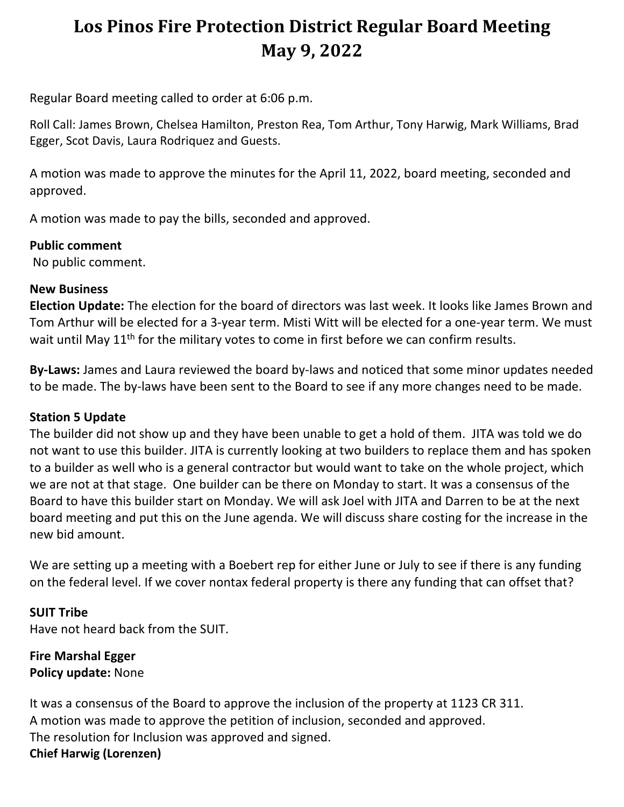# **Los Pinos Fire Protection District Regular Board Meeting May 9, 2022**

Regular Board meeting called to order at 6:06 p.m.

Roll Call: James Brown, Chelsea Hamilton, Preston Rea, Tom Arthur, Tony Harwig, Mark Williams, Brad Egger, Scot Davis, Laura Rodriquez and Guests.

A motion was made to approve the minutes for the April 11, 2022, board meeting, seconded and approved.

A motion was made to pay the bills, seconded and approved.

#### **Public comment**

No public comment.

## **New Business**

**Election Update:** The election for the board of directors was last week. It looks like James Brown and Tom Arthur will be elected for a 3-year term. Misti Witt will be elected for a one-year term. We must wait until May 11<sup>th</sup> for the military votes to come in first before we can confirm results.

**By-Laws:** James and Laura reviewed the board by-laws and noticed that some minor updates needed to be made. The by-laws have been sent to the Board to see if any more changes need to be made.

#### **Station 5 Update**

The builder did not show up and they have been unable to get a hold of them. JITA was told we do not want to use this builder. JITA is currently looking at two builders to replace them and has spoken to a builder as well who is a general contractor but would want to take on the whole project, which we are not at that stage. One builder can be there on Monday to start. It was a consensus of the Board to have this builder start on Monday. We will ask Joel with JITA and Darren to be at the next board meeting and put this on the June agenda. We will discuss share costing for the increase in the new bid amount.

We are setting up a meeting with a Boebert rep for either June or July to see if there is any funding on the federal level. If we cover nontax federal property is there any funding that can offset that?

**SUIT Tribe** Have not heard back from the SUIT.

**Fire Marshal Egger Policy update:** None

It was a consensus of the Board to approve the inclusion of the property at 1123 CR 311. A motion was made to approve the petition of inclusion, seconded and approved. The resolution for Inclusion was approved and signed. **Chief Harwig (Lorenzen)**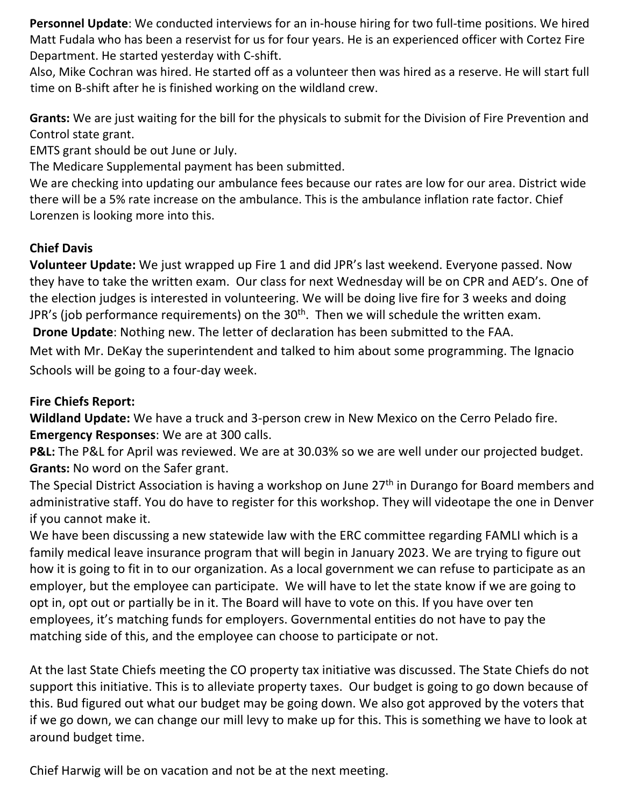**Personnel Update**: We conducted interviews for an in-house hiring for two full-time positions. We hired Matt Fudala who has been a reservist for us for four years. He is an experienced officer with Cortez Fire Department. He started yesterday with C-shift.

Also, Mike Cochran was hired. He started off as a volunteer then was hired as a reserve. He will start full time on B-shift after he is finished working on the wildland crew.

**Grants:** We are just waiting for the bill for the physicals to submit for the Division of Fire Prevention and Control state grant.

EMTS grant should be out June or July.

The Medicare Supplemental payment has been submitted.

We are checking into updating our ambulance fees because our rates are low for our area. District wide there will be a 5% rate increase on the ambulance. This is the ambulance inflation rate factor. Chief Lorenzen is looking more into this.

# **Chief Davis**

**Volunteer Update:** We just wrapped up Fire 1 and did JPR's last weekend. Everyone passed. Now they have to take the written exam. Our class for next Wednesday will be on CPR and AED's. One of the election judges is interested in volunteering. We will be doing live fire for 3 weeks and doing JPR's (job performance requirements) on the  $30<sup>th</sup>$ . Then we will schedule the written exam. **Drone Update**: Nothing new. The letter of declaration has been submitted to the FAA.

Met with Mr. DeKay the superintendent and talked to him about some programming. The Ignacio Schools will be going to a four-day week.

## **Fire Chiefs Report:**

**Wildland Update:** We have a truck and 3-person crew in New Mexico on the Cerro Pelado fire. **Emergency Responses**: We are at 300 calls.

**P&L:** The P&L for April was reviewed. We are at 30.03% so we are well under our projected budget. **Grants:** No word on the Safer grant.

The Special District Association is having a workshop on June 27<sup>th</sup> in Durango for Board members and administrative staff. You do have to register for this workshop. They will videotape the one in Denver if you cannot make it.

We have been discussing a new statewide law with the ERC committee regarding FAMLI which is a family medical leave insurance program that will begin in January 2023. We are trying to figure out how it is going to fit in to our organization. As a local government we can refuse to participate as an employer, but the employee can participate. We will have to let the state know if we are going to opt in, opt out or partially be in it. The Board will have to vote on this. If you have over ten employees, it's matching funds for employers. Governmental entities do not have to pay the matching side of this, and the employee can choose to participate or not.

At the last State Chiefs meeting the CO property tax initiative was discussed. The State Chiefs do not support this initiative. This is to alleviate property taxes. Our budget is going to go down because of this. Bud figured out what our budget may be going down. We also got approved by the voters that if we go down, we can change our mill levy to make up for this. This is something we have to look at around budget time.

Chief Harwig will be on vacation and not be at the next meeting.